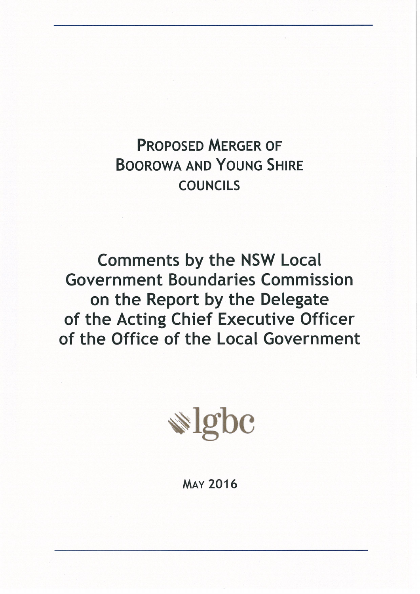# **PROPOSED MERGER OF BOOROWA AND YOUNG SHIRE COUNCILS**

**Comments by the NSW Local Government Boundaries Commission** on the Report by the Delegate of the Acting Chief Executive Officer of the Office of the Local Government



**MAY 2016**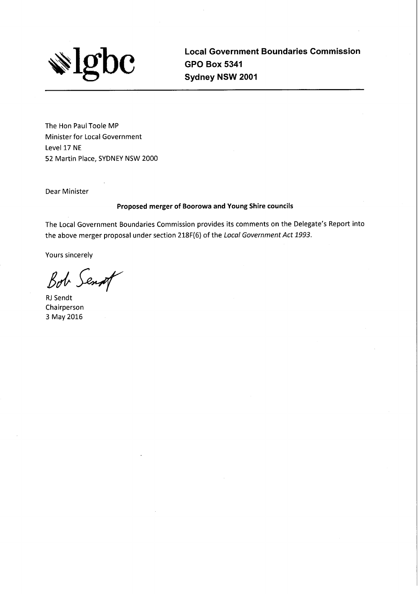

**Local Government Boundaries Commission GPO Box 5341** Sydney NSW 2001

The Hon Paul Toole MP Minister for Local Government Level 17 NE 52 Martin Place, SYDNEY NSW 2000

Dear Minister

#### Proposed merger of Boorowa and Young Shire councils

The Local Government Boundaries Commission provides its comments on the Delegate's Report into the above merger proposal under section 218F(6) of the Local Government Act 1993.

Yours sincerely

Bob Sent

**RJ** Sendt Chairperson 3 May 2016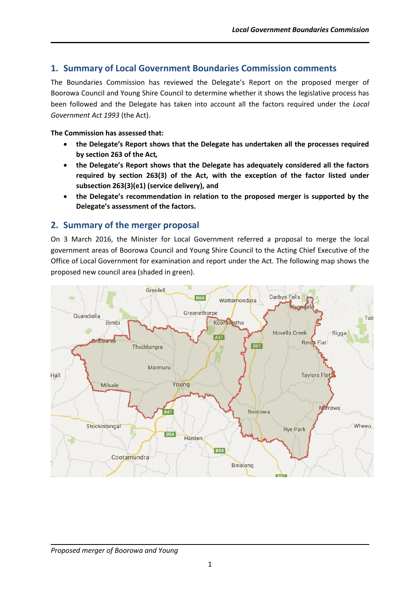# **1. Summary of Local Government Boundaries Commission comments**

The Boundaries Commission has reviewed the Delegate's Report on the proposed merger of Boorowa Council and Young Shire Council to determine whether it shows the legislative process has been followed and the Delegate has taken into account all the factors required under the *Local Government Act 1993* (the Act).

#### **The Commission has assessed that:**

- **the Delegate's Report shows that the Delegate has undertaken all the processes required by section 263 of the Act***,*
- **the Delegate's Report shows that the Delegate has adequately considered all the factors required by section 263(3) of the Act, with the exception of the factor listed under subsection 263(3)(e1) (service delivery), and**
- **the Delegate's recommendation in relation to the proposed merger is supported by the Delegate's assessment of the factors.**

# **2. Summary of the merger proposal**

On 3 March 2016, the Minister for Local Government referred a proposal to merge the local government areas of Boorowa Council and Young Shire Council to the Acting Chief Executive of the Office of Local Government for examination and report under the Act. The following map shows the proposed new council area (shaded in green).



#### *Proposed merger of Boorowa and Young*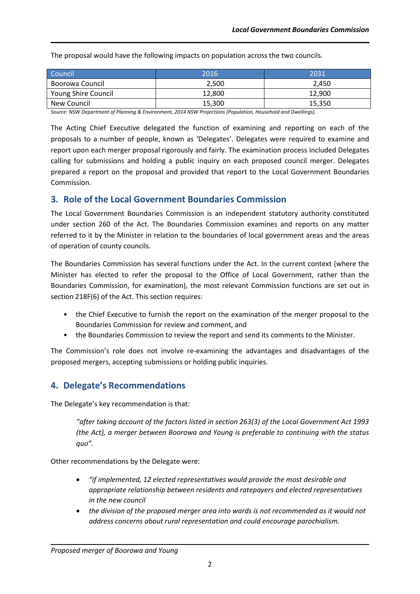The proposal would have the following impacts on population across the two councils.

| Council                    | 2016   | 2031   |
|----------------------------|--------|--------|
| Boorowa Council            | 2,500  | 2.450  |
| <b>Young Shire Council</b> | 12.800 | 12.900 |
| New Council                | 15,300 | 15,350 |

*Source: NSW Department of Planning & Environment, 2014 NSW Projections (Population, Household and Dwellings).*

The Acting Chief Executive delegated the function of examining and reporting on each of the proposals to a number of people, known as 'Delegates'. Delegates were required to examine and report upon each merger proposal rigorously and fairly. The examination process included Delegates calling for submissions and holding a public inquiry on each proposed council merger. Delegates prepared a report on the proposal and provided that report to the Local Government Boundaries Commission.

# **3. Role of the Local Government Boundaries Commission**

The Local Government Boundaries Commission is an independent statutory authority constituted under section 260 of the Act. The Boundaries Commission examines and reports on any matter referred to it by the Minister in relation to the boundaries of local government areas and the areas of operation of county councils.

The Boundaries Commission has several functions under the Act. In the current context (where the Minister has elected to refer the proposal to the Office of Local Government, rather than the Boundaries Commission, for examination), the most relevant Commission functions are set out in section 218F(6) of the Act. This section requires:

- the Chief Executive to furnish the report on the examination of the merger proposal to the Boundaries Commission for review and comment, and
- the Boundaries Commission to review the report and send its comments to the Minister.

The Commission's role does not involve re-examining the advantages and disadvantages of the proposed mergers, accepting submissions or holding public inquiries.

# **4. Delegate's Recommendations**

The Delegate's key recommendation is that:

*"after taking account of the factors listed in section 263(3) of the Local Government Act 1993 (the Act), a merger between Boorowa and Young is preferable to continuing with the status quo".*

Other recommendations by the Delegate were:

- *"if implemented, 12 elected representatives would provide the most desirable and appropriate relationship between residents and ratepayers and elected representatives in the new council*
- *the division of the proposed merger area into wards is not recommended as it would not address concerns about rural representation and could encourage parochialism.*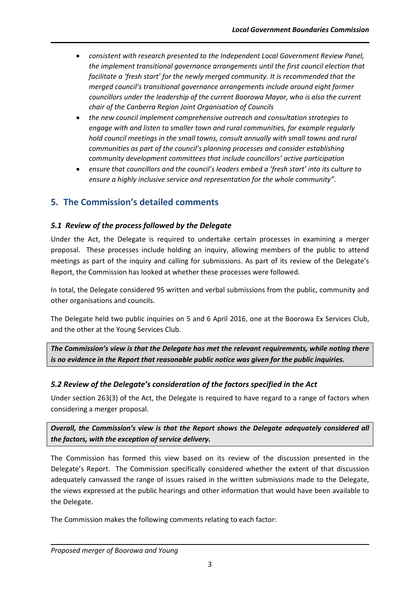- *consistent with research presented to the Independent Local Government Review Panel, the implement transitional governance arrangements until the first council election that facilitate a 'fresh start' for the newly merged community. It is recommended that the merged council's transitional governance arrangements include around eight former councillors under the leadership of the current Boorowa Mayor, who is also the current chair of the Canberra Region Joint Organisation of Councils*
- *the new council implement comprehensive outreach and consultation strategies to engage with and listen to smaller town and rural communities, for example regularly hold council meetings in the small towns, consult annually with small towns and rural communities as part of the council's planning processes and consider establishing community development committees that include councillors' active participation*
- *ensure that councillors and the council's leaders embed a 'fresh start' into its culture to ensure a highly inclusive service and representation for the whole community".*

# **5. The Commission's detailed comments**

# *5.1 Review of the process followed by the Delegate*

Under the Act, the Delegate is required to undertake certain processes in examining a merger proposal. These processes include holding an inquiry, allowing members of the public to attend meetings as part of the inquiry and calling for submissions. As part of its review of the Delegate's Report, the Commission has looked at whether these processes were followed.

In total, the Delegate considered 95 written and verbal submissions from the public, community and other organisations and councils.

The Delegate held two public inquiries on 5 and 6 April 2016, one at the Boorowa Ex Services Club, and the other at the Young Services Club.

*The Commission's view is that the Delegate has met the relevant requirements, while noting there is no evidence in the Report that reasonable public notice was given for the public inquiries.*

# *5.2 Review of the Delegate's consideration of the factors specified in the Act*

Under section 263(3) of the Act, the Delegate is required to have regard to a range of factors when considering a merger proposal.

*Overall, the Commission's view is that the Report shows the Delegate adequately considered all the factors, with the exception of service delivery.*

The Commission has formed this view based on its review of the discussion presented in the Delegate's Report. The Commission specifically considered whether the extent of that discussion adequately canvassed the range of issues raised in the written submissions made to the Delegate, the views expressed at the public hearings and other information that would have been available to the Delegate.

The Commission makes the following comments relating to each factor: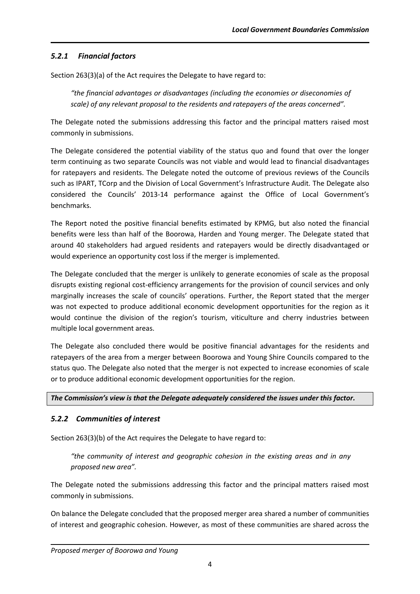# *5.2.1 Financial factors*

Section 263(3)(a) of the Act requires the Delegate to have regard to:

*"the financial advantages or disadvantages (including the economies or diseconomies of scale) of any relevant proposal to the residents and ratepayers of the areas concerned".*

The Delegate noted the submissions addressing this factor and the principal matters raised most commonly in submissions.

The Delegate considered the potential viability of the status quo and found that over the longer term continuing as two separate Councils was not viable and would lead to financial disadvantages for ratepayers and residents. The Delegate noted the outcome of previous reviews of the Councils such as IPART, TCorp and the Division of Local Government's Infrastructure Audit. The Delegate also considered the Councils' 2013-14 performance against the Office of Local Government's benchmarks.

The Report noted the positive financial benefits estimated by KPMG, but also noted the financial benefits were less than half of the Boorowa, Harden and Young merger. The Delegate stated that around 40 stakeholders had argued residents and ratepayers would be directly disadvantaged or would experience an opportunity cost loss if the merger is implemented.

The Delegate concluded that the merger is unlikely to generate economies of scale as the proposal disrupts existing regional cost-efficiency arrangements for the provision of council services and only marginally increases the scale of councils' operations. Further, the Report stated that the merger was not expected to produce additional economic development opportunities for the region as it would continue the division of the region's tourism, viticulture and cherry industries between multiple local government areas.

The Delegate also concluded there would be positive financial advantages for the residents and ratepayers of the area from a merger between Boorowa and Young Shire Councils compared to the status quo. The Delegate also noted that the merger is not expected to increase economies of scale or to produce additional economic development opportunities for the region.

#### *The Commission's view is that the Delegate adequately considered the issues under this factor.*

# *5.2.2 Communities of interest*

Section 263(3)(b) of the Act requires the Delegate to have regard to:

*"the community of interest and geographic cohesion in the existing areas and in any proposed new area".*

The Delegate noted the submissions addressing this factor and the principal matters raised most commonly in submissions.

On balance the Delegate concluded that the proposed merger area shared a number of communities of interest and geographic cohesion. However, as most of these communities are shared across the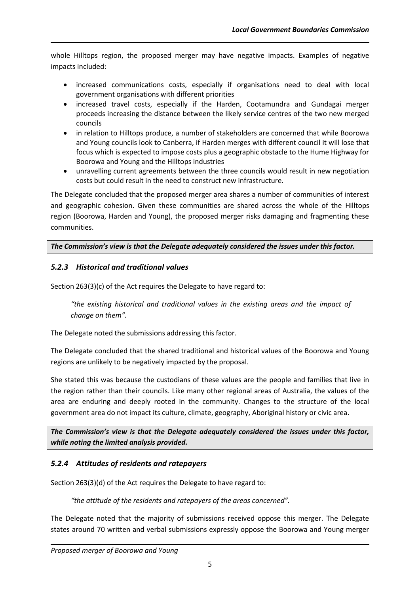whole Hilltops region, the proposed merger may have negative impacts. Examples of negative impacts included:

- increased communications costs, especially if organisations need to deal with local government organisations with different priorities
- increased travel costs, especially if the Harden, Cootamundra and Gundagai merger proceeds increasing the distance between the likely service centres of the two new merged councils
- in relation to Hilltops produce, a number of stakeholders are concerned that while Boorowa and Young councils look to Canberra, if Harden merges with different council it will lose that focus which is expected to impose costs plus a geographic obstacle to the Hume Highway for Boorowa and Young and the Hilltops industries
- unravelling current agreements between the three councils would result in new negotiation costs but could result in the need to construct new infrastructure.

The Delegate concluded that the proposed merger area shares a number of communities of interest and geographic cohesion. Given these communities are shared across the whole of the Hilltops region (Boorowa, Harden and Young), the proposed merger risks damaging and fragmenting these communities.

*The Commission's view is that the Delegate adequately considered the issues under this factor.* 

# *5.2.3 Historical and traditional values*

Section 263(3)(c) of the Act requires the Delegate to have regard to:

*"the existing historical and traditional values in the existing areas and the impact of change on them".*

The Delegate noted the submissions addressing this factor.

The Delegate concluded that the shared traditional and historical values of the Boorowa and Young regions are unlikely to be negatively impacted by the proposal.

She stated this was because the custodians of these values are the people and families that live in the region rather than their councils. Like many other regional areas of Australia, the values of the area are enduring and deeply rooted in the community. Changes to the structure of the local government area do not impact its culture, climate, geography, Aboriginal history or civic area.

*The Commission's view is that the Delegate adequately considered the issues under this factor, while noting the limited analysis provided.* 

# *5.2.4 Attitudes of residents and ratepayers*

Section 263(3)(d) of the Act requires the Delegate to have regard to:

*"the attitude of the residents and ratepayers of the areas concerned".*

The Delegate noted that the majority of submissions received oppose this merger. The Delegate states around 70 written and verbal submissions expressly oppose the Boorowa and Young merger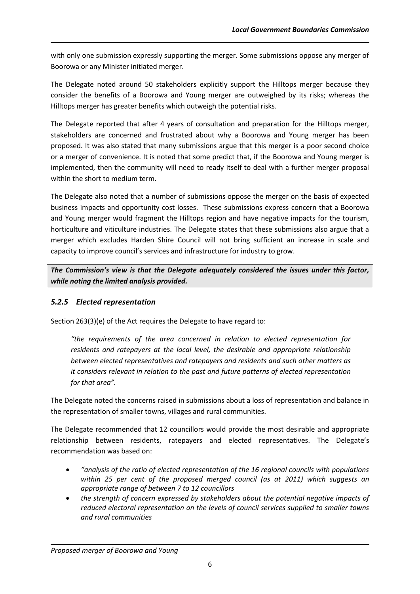with only one submission expressly supporting the merger. Some submissions oppose any merger of Boorowa or any Minister initiated merger.

The Delegate noted around 50 stakeholders explicitly support the Hilltops merger because they consider the benefits of a Boorowa and Young merger are outweighed by its risks; whereas the Hilltops merger has greater benefits which outweigh the potential risks.

The Delegate reported that after 4 years of consultation and preparation for the Hilltops merger, stakeholders are concerned and frustrated about why a Boorowa and Young merger has been proposed. It was also stated that many submissions argue that this merger is a poor second choice or a merger of convenience. It is noted that some predict that, if the Boorowa and Young merger is implemented, then the community will need to ready itself to deal with a further merger proposal within the short to medium term.

The Delegate also noted that a number of submissions oppose the merger on the basis of expected business impacts and opportunity cost losses. These submissions express concern that a Boorowa and Young merger would fragment the Hilltops region and have negative impacts for the tourism, horticulture and viticulture industries. The Delegate states that these submissions also argue that a merger which excludes Harden Shire Council will not bring sufficient an increase in scale and capacity to improve council's services and infrastructure for industry to grow.

*The Commission's view is that the Delegate adequately considered the issues under this factor, while noting the limited analysis provided.* 

# *5.2.5 Elected representation*

Section 263(3)(e) of the Act requires the Delegate to have regard to:

*"the requirements of the area concerned in relation to elected representation for residents and ratepayers at the local level, the desirable and appropriate relationship between elected representatives and ratepayers and residents and such other matters as it considers relevant in relation to the past and future patterns of elected representation for that area".*

The Delegate noted the concerns raised in submissions about a loss of representation and balance in the representation of smaller towns, villages and rural communities.

The Delegate recommended that 12 councillors would provide the most desirable and appropriate relationship between residents, ratepayers and elected representatives. The Delegate's recommendation was based on:

- *"analysis of the ratio of elected representation of the 16 regional councils with populations within 25 per cent of the proposed merged council (as at 2011) which suggests an appropriate range of between 7 to 12 councillors*
- *the strength of concern expressed by stakeholders about the potential negative impacts of reduced electoral representation on the levels of council services supplied to smaller towns and rural communities*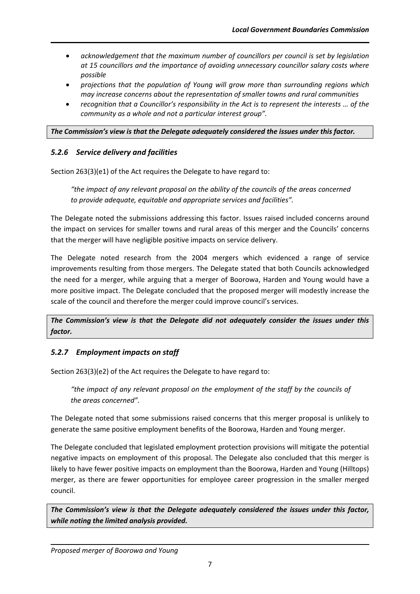- *acknowledgement that the maximum number of councillors per council is set by legislation at 15 councillors and the importance of avoiding unnecessary councillor salary costs where possible*
- *projections that the population of Young will grow more than surrounding regions which may increase concerns about the representation of smaller towns and rural communities*
- *recognition that a Councillor's responsibility in the Act is to represent the interests … of the community as a whole and not a particular interest group".*

#### *The Commission's view is that the Delegate adequately considered the issues under this factor.*

#### *5.2.6 Service delivery and facilities*

Section 263(3)(e1) of the Act requires the Delegate to have regard to:

*"the impact of any relevant proposal on the ability of the councils of the areas concerned to provide adequate, equitable and appropriate services and facilities".*

The Delegate noted the submissions addressing this factor. Issues raised included concerns around the impact on services for smaller towns and rural areas of this merger and the Councils' concerns that the merger will have negligible positive impacts on service delivery.

The Delegate noted research from the 2004 mergers which evidenced a range of service improvements resulting from those mergers. The Delegate stated that both Councils acknowledged the need for a merger, while arguing that a merger of Boorowa, Harden and Young would have a more positive impact. The Delegate concluded that the proposed merger will modestly increase the scale of the council and therefore the merger could improve council's services.

*The Commission's view is that the Delegate did not adequately consider the issues under this factor.* 

# *5.2.7 Employment impacts on staff*

Section 263(3)(e2) of the Act requires the Delegate to have regard to:

"the impact of any relevant proposal on the employment of the staff by the councils of *the areas concerned".*

The Delegate noted that some submissions raised concerns that this merger proposal is unlikely to generate the same positive employment benefits of the Boorowa, Harden and Young merger.

The Delegate concluded that legislated employment protection provisions will mitigate the potential negative impacts on employment of this proposal. The Delegate also concluded that this merger is likely to have fewer positive impacts on employment than the Boorowa, Harden and Young (Hilltops) merger, as there are fewer opportunities for employee career progression in the smaller merged council.

*The Commission's view is that the Delegate adequately considered the issues under this factor, while noting the limited analysis provided.*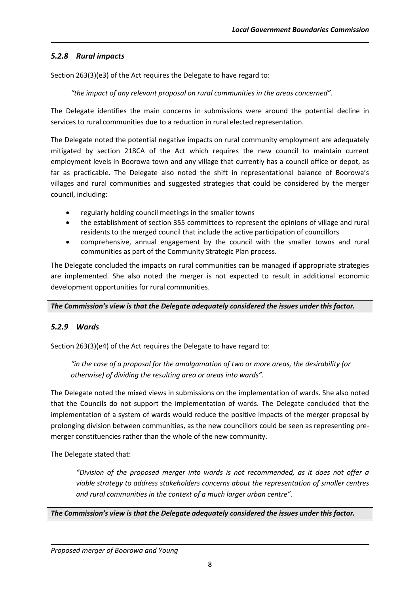# *5.2.8 Rural impacts*

Section 263(3)(e3) of the Act requires the Delegate to have regard to:

*"the impact of any relevant proposal on rural communities in the areas concerned".*

The Delegate identifies the main concerns in submissions were around the potential decline in services to rural communities due to a reduction in rural elected representation.

The Delegate noted the potential negative impacts on rural community employment are adequately mitigated by section 218CA of the Act which requires the new council to maintain current employment levels in Boorowa town and any village that currently has a council office or depot, as far as practicable. The Delegate also noted the shift in representational balance of Boorowa's villages and rural communities and suggested strategies that could be considered by the merger council, including:

- regularly holding council meetings in the smaller towns
- the establishment of section 355 committees to represent the opinions of village and rural residents to the merged council that include the active participation of councillors
- comprehensive, annual engagement by the council with the smaller towns and rural communities as part of the Community Strategic Plan process.

The Delegate concluded the impacts on rural communities can be managed if appropriate strategies are implemented. She also noted the merger is not expected to result in additional economic development opportunities for rural communities.

*The Commission's view is that the Delegate adequately considered the issues under this factor.* 

# *5.2.9 Wards*

Section 263(3)(e4) of the Act requires the Delegate to have regard to:

*"in the case of a proposal for the amalgamation of two or more areas, the desirability (or otherwise) of dividing the resulting area or areas into wards".*

The Delegate noted the mixed views in submissions on the implementation of wards. She also noted that the Councils do not support the implementation of wards. The Delegate concluded that the implementation of a system of wards would reduce the positive impacts of the merger proposal by prolonging division between communities, as the new councillors could be seen as representing premerger constituencies rather than the whole of the new community.

The Delegate stated that:

*"Division of the proposed merger into wards is not recommended, as it does not offer a viable strategy to address stakeholders concerns about the representation of smaller centres and rural communities in the context of a much larger urban centre".*

# *The Commission's view is that the Delegate adequately considered the issues under this factor.*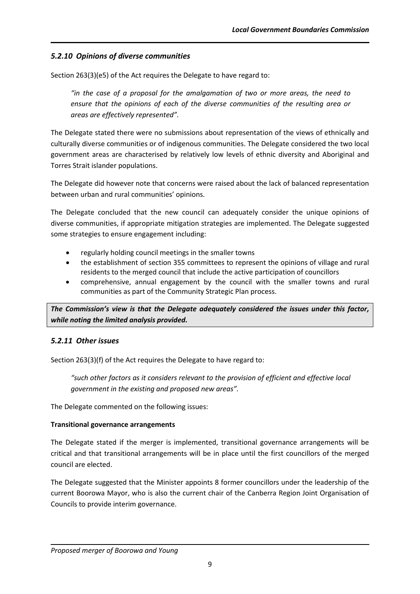# *5.2.10 Opinions of diverse communities*

Section 263(3)(e5) of the Act requires the Delegate to have regard to:

*"in the case of a proposal for the amalgamation of two or more areas, the need to ensure that the opinions of each of the diverse communities of the resulting area or areas are effectively represented".*

The Delegate stated there were no submissions about representation of the views of ethnically and culturally diverse communities or of indigenous communities. The Delegate considered the two local government areas are characterised by relatively low levels of ethnic diversity and Aboriginal and Torres Strait islander populations.

The Delegate did however note that concerns were raised about the lack of balanced representation between urban and rural communities' opinions.

The Delegate concluded that the new council can adequately consider the unique opinions of diverse communities, if appropriate mitigation strategies are implemented. The Delegate suggested some strategies to ensure engagement including:

- regularly holding council meetings in the smaller towns
- the establishment of section 355 committees to represent the opinions of village and rural residents to the merged council that include the active participation of councillors
- comprehensive, annual engagement by the council with the smaller towns and rural communities as part of the Community Strategic Plan process.

*The Commission's view is that the Delegate adequately considered the issues under this factor, while noting the limited analysis provided.*

# *5.2.11 Other issues*

Section 263(3)(f) of the Act requires the Delegate to have regard to:

*"such other factors as it considers relevant to the provision of efficient and effective local government in the existing and proposed new areas".*

The Delegate commented on the following issues:

# **Transitional governance arrangements**

The Delegate stated if the merger is implemented, transitional governance arrangements will be critical and that transitional arrangements will be in place until the first councillors of the merged council are elected.

The Delegate suggested that the Minister appoints 8 former councillors under the leadership of the current Boorowa Mayor, who is also the current chair of the Canberra Region Joint Organisation of Councils to provide interim governance.